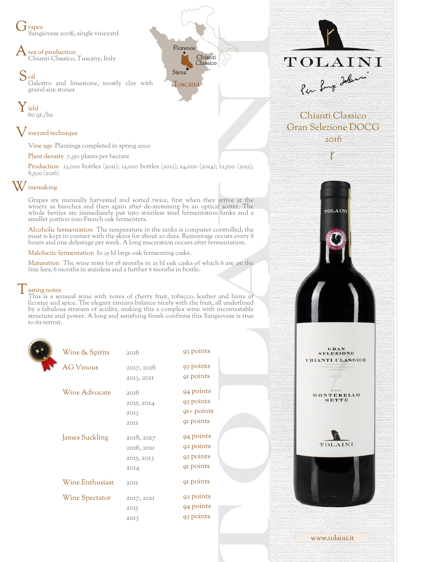J rapes Sangiovese 100%, single vineyard

 $\bigwedge$  rea of production Chianti Classico, Tuscany, Italy

S<sub>oil</sub> Galestro and limestone, mostly clay with gravel size stones

Y ield 60 qt./ha

## ${\mathsf V}$  ineyard technique

Vine age Plantings completed in spring 2000

Plant density 7,350 plants per hectare

Production 13,000 bottles (2011); 13,000 bottles (2013); 14,000 (2014); 12,500 (2015); 8,500 (2016)

Florence

Siena Toscana

Chianti

Classico

## W inemaking

Grapes are manually harvested and sorted twice, first when they arrive at the winery as bunches and then again after de-stemming by an optical sorter. The whole berries are immediately put into stainless steel fermentation tanks and a smaller portion into French oak fermenters.

Alcoholic fermentation The temperature in the tanks is computer controlled; the must is kept in contact with the skins for about 20 days. Remontage occurs every 8 hours and one delestage per week. A long maceration occurs after fermentation.

Malolactic fermentation In 25 hl large oak fermenting casks .

Maturation The wine rests for 18 months in 25 hl oak casks of which 6 are on the fine lees, 6 months in stainless and a further 6 months in bottle.

## $\vert$  asting notes

This is a sensual wine with notes of cherry fruit, tobacco, leather and hints of licorice and spice. The elegant tannins balance nicely with the fruit, all underlined by a fabulous stratum of acidity, making this a complex wine with incontestable structure and power. A long and satisfying finish confirms this Sangiovese is true to its terroir.

| Wine & Spirits        | 2016       | 93 points    |
|-----------------------|------------|--------------|
| <b>AG Vinous</b>      | 2017, 2016 | 93 points    |
|                       | 2013, 2011 | 91 points    |
| Wine Advocate         | 2016       | 94 points    |
|                       | 2015, 2014 | 93 points    |
|                       | 2013       | $QI+$ points |
|                       | 2OII       | 91 points    |
| <b>James Suckling</b> | 2018, 2017 | 94 points    |
|                       | 2016, 2011 | 92 points    |
|                       | 2015, 2013 | 93 points    |
|                       | 2014       | 91 points    |
| Wine Enthusiast       | 2OII       | 91 points    |
| <b>Wine Spectator</b> | 2017, 2011 | 92 points    |
|                       | 2015       | 94 points    |
|                       | 2013       | 93 points    |
|                       |            |              |



Chianti Classico Gran Selezione DOCG 2016

TOLAIN<sub>1</sub>







www.tolaini.it